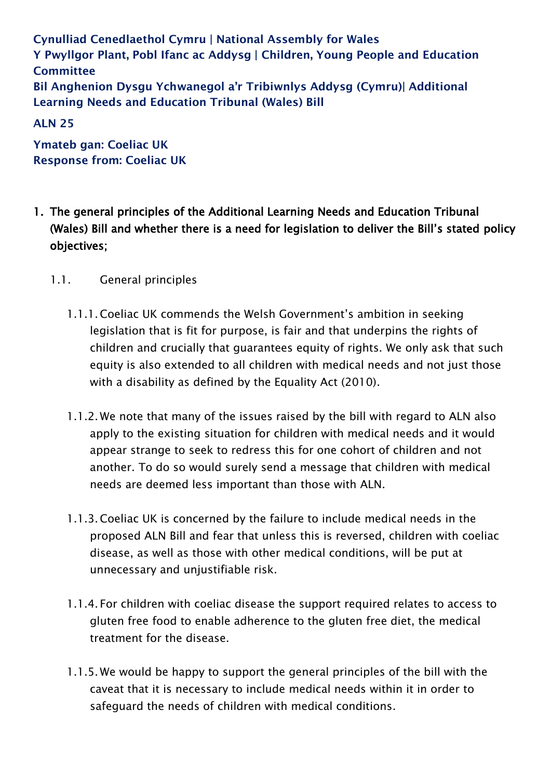**Cynulliad Cenedlaethol Cymru | National Assembly for Wales Y Pwyllgor Plant, Pobl Ifanc ac Addysg | Children, Young People and Education Committee Bil Anghenion Dysgu Ychwanegol a'r Tribiwnlys Addysg (Cymru)| Additional Learning Needs and Education Tribunal (Wales) Bill**

**ALN 25** 

**Ymateb gan: Coeliac UK Response from: Coeliac UK**

- 1. The general principles of the Additional Learning Needs and Education Tribunal (Wales) Bill and whether there is a need for legislation to deliver the Bill's stated policy objectives;
	- 1.1. General principles
		- 1.1.1.Coeliac UK commends the Welsh Government's ambition in seeking legislation that is fit for purpose, is fair and that underpins the rights of children and crucially that guarantees equity of rights. We only ask that such equity is also extended to all children with medical needs and not just those with a disability as defined by the Equality Act (2010).
		- 1.1.2. We note that many of the issues raised by the bill with regard to ALN also apply to the existing situation for children with medical needs and it would appear strange to seek to redress this for one cohort of children and not another. To do so would surely send a message that children with medical needs are deemed less important than those with ALN.
		- 1.1.3.Coeliac UK is concerned by the failure to include medical needs in the proposed ALN Bill and fear that unless this is reversed, children with coeliac disease, as well as those with other medical conditions, will be put at unnecessary and unjustifiable risk.
		- 1.1.4. For children with coeliac disease the support required relates to access to gluten free food to enable adherence to the gluten free diet, the medical treatment for the disease.
		- 1.1.5. We would be happy to support the general principles of the bill with the caveat that it is necessary to include medical needs within it in order to safeguard the needs of children with medical conditions.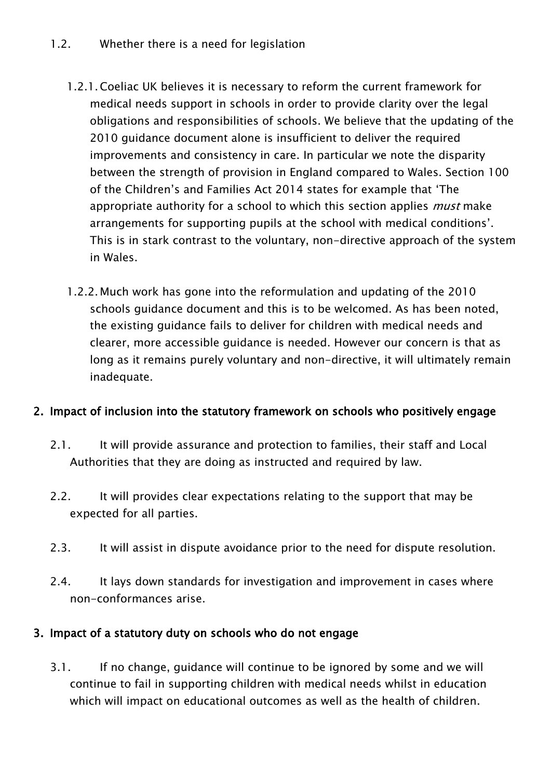- 1.2.1.Coeliac UK believes it is necessary to reform the current framework for medical needs support in schools in order to provide clarity over the legal obligations and responsibilities of schools. We believe that the updating of the 2010 guidance document alone is insufficient to deliver the required improvements and consistency in care. In particular we note the disparity between the strength of provision in England compared to Wales. Section 100 of the Children's and Families Act 2014 states for example that 'The appropriate authority for a school to which this section applies *must* make arrangements for supporting pupils at the school with medical conditions'. This is in stark contrast to the voluntary, non-directive approach of the system in Wales.
- 1.2.2. Much work has gone into the reformulation and updating of the 2010 schools guidance document and this is to be welcomed. As has been noted, the existing guidance fails to deliver for children with medical needs and clearer, more accessible guidance is needed. However our concern is that as long as it remains purely voluntary and non-directive, it will ultimately remain inadequate.

### 2. Impact of inclusion into the statutory framework on schools who positively engage

- 2.1. It will provide assurance and protection to families, their staff and Local Authorities that they are doing as instructed and required by law.
- 2.2. It will provides clear expectations relating to the support that may be expected for all parties.
- 2.3. It will assist in dispute avoidance prior to the need for dispute resolution.
- 2.4. It lays down standards for investigation and improvement in cases where non-conformances arise.

### 3. Impact of a statutory duty on schools who do not engage

3.1. If no change, guidance will continue to be ignored by some and we will continue to fail in supporting children with medical needs whilst in education which will impact on educational outcomes as well as the health of children.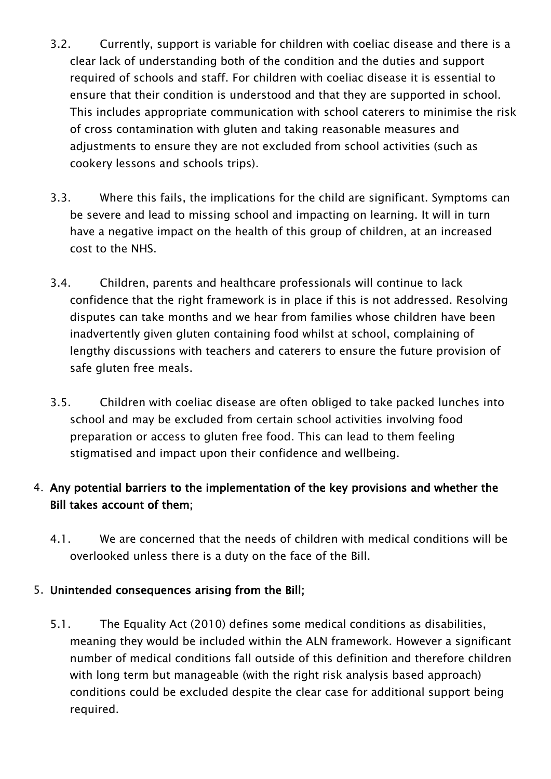- 3.2. Currently, support is variable for children with coeliac disease and there is a clear lack of understanding both of the condition and the duties and support required of schools and staff. For children with coeliac disease it is essential to ensure that their condition is understood and that they are supported in school. This includes appropriate communication with school caterers to minimise the risk of cross contamination with gluten and taking reasonable measures and adjustments to ensure they are not excluded from school activities (such as cookery lessons and schools trips).
- 3.3. Where this fails, the implications for the child are significant. Symptoms can be severe and lead to missing school and impacting on learning. It will in turn have a negative impact on the health of this group of children, at an increased cost to the NHS.
- 3.4. Children, parents and healthcare professionals will continue to lack confidence that the right framework is in place if this is not addressed. Resolving disputes can take months and we hear from families whose children have been inadvertently given gluten containing food whilst at school, complaining of lengthy discussions with teachers and caterers to ensure the future provision of safe gluten free meals.
- 3.5. Children with coeliac disease are often obliged to take packed lunches into school and may be excluded from certain school activities involving food preparation or access to gluten free food. This can lead to them feeling stigmatised and impact upon their confidence and wellbeing.

## 4. Any potential barriers to the implementation of the key provisions and whether the Bill takes account of them;

4.1. We are concerned that the needs of children with medical conditions will be overlooked unless there is a duty on the face of the Bill.

### 5. Unintended consequences arising from the Bill;

5.1. The Equality Act (2010) defines some medical conditions as disabilities, meaning they would be included within the ALN framework. However a significant number of medical conditions fall outside of this definition and therefore children with long term but manageable (with the right risk analysis based approach) conditions could be excluded despite the clear case for additional support being required.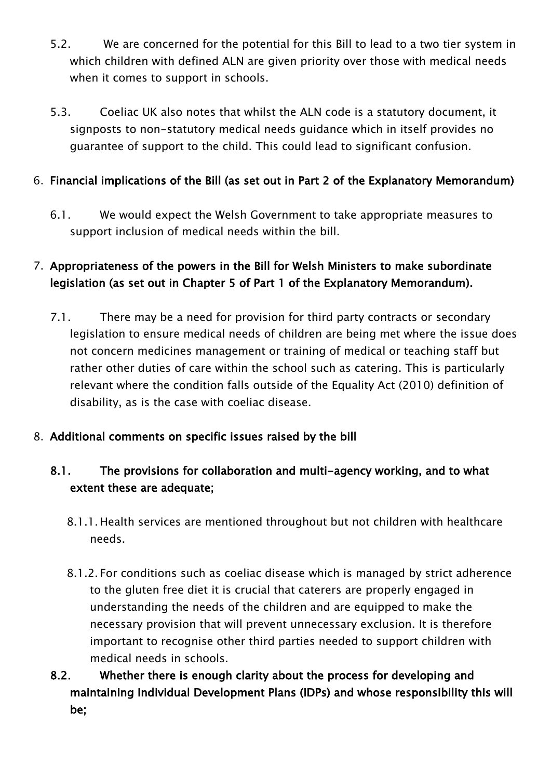- 5.2. We are concerned for the potential for this Bill to lead to a two tier system in which children with defined ALN are given priority over those with medical needs when it comes to support in schools.
- 5.3. Coeliac UK also notes that whilst the ALN code is a statutory document, it signposts to non-statutory medical needs guidance which in itself provides no guarantee of support to the child. This could lead to significant confusion.

## 6. Financial implications of the Bill (as set out in Part 2 of the Explanatory Memorandum)

6.1. We would expect the Welsh Government to take appropriate measures to support inclusion of medical needs within the bill.

## 7. Appropriateness of the powers in the Bill for Welsh Ministers to make subordinate legislation (as set out in Chapter 5 of Part 1 of the Explanatory Memorandum).

- 7.1. There may be a need for provision for third party contracts or secondary legislation to ensure medical needs of children are being met where the issue does not concern medicines management or training of medical or teaching staff but rather other duties of care within the school such as catering. This is particularly relevant where the condition falls outside of the Equality Act (2010) definition of disability, as is the case with coeliac disease.
- 8. Additional comments on specific issues raised by the bill

## 8.1. The provisions for collaboration and multi-agency working, and to what extent these are adequate;

- 8.1.1. Health services are mentioned throughout but not children with healthcare needs.
- 8.1.2. For conditions such as coeliac disease which is managed by strict adherence to the gluten free diet it is crucial that caterers are properly engaged in understanding the needs of the children and are equipped to make the necessary provision that will prevent unnecessary exclusion. It is therefore important to recognise other third parties needed to support children with medical needs in schools.
- 8.2. Whether there is enough clarity about the process for developing and maintaining Individual Development Plans (IDPs) and whose responsibility this will be;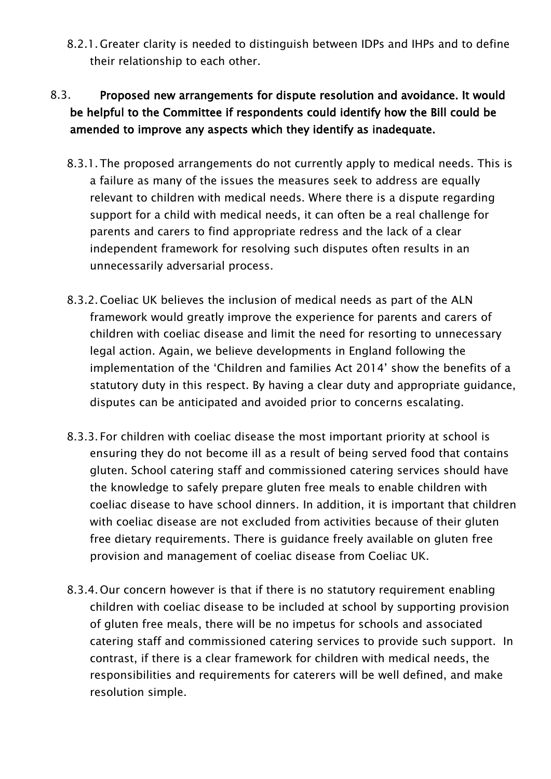8.2.1. Greater clarity is needed to distinguish between IDPs and IHPs and to define their relationship to each other.

# 8.3. Proposed new arrangements for dispute resolution and avoidance. It would be helpful to the Committee if respondents could identify how the Bill could be amended to improve any aspects which they identify as inadequate.

- 8.3.1.The proposed arrangements do not currently apply to medical needs. This is a failure as many of the issues the measures seek to address are equally relevant to children with medical needs. Where there is a dispute regarding support for a child with medical needs, it can often be a real challenge for parents and carers to find appropriate redress and the lack of a clear independent framework for resolving such disputes often results in an unnecessarily adversarial process.
- 8.3.2.Coeliac UK believes the inclusion of medical needs as part of the ALN framework would greatly improve the experience for parents and carers of children with coeliac disease and limit the need for resorting to unnecessary legal action. Again, we believe developments in England following the implementation of the 'Children and families Act 2014' show the benefits of a statutory duty in this respect. By having a clear duty and appropriate guidance, disputes can be anticipated and avoided prior to concerns escalating.
- 8.3.3. For children with coeliac disease the most important priority at school is ensuring they do not become ill as a result of being served food that contains gluten. School catering staff and commissioned catering services should have the knowledge to safely prepare gluten free meals to enable children with coeliac disease to have school dinners. In addition, it is important that children with coeliac disease are not excluded from activities because of their gluten free dietary requirements. There is guidance freely available on gluten free provision and management of coeliac disease from Coeliac UK.
- 8.3.4.Our concern however is that if there is no statutory requirement enabling children with coeliac disease to be included at school by supporting provision of gluten free meals, there will be no impetus for schools and associated catering staff and commissioned catering services to provide such support. In contrast, if there is a clear framework for children with medical needs, the responsibilities and requirements for caterers will be well defined, and make resolution simple.